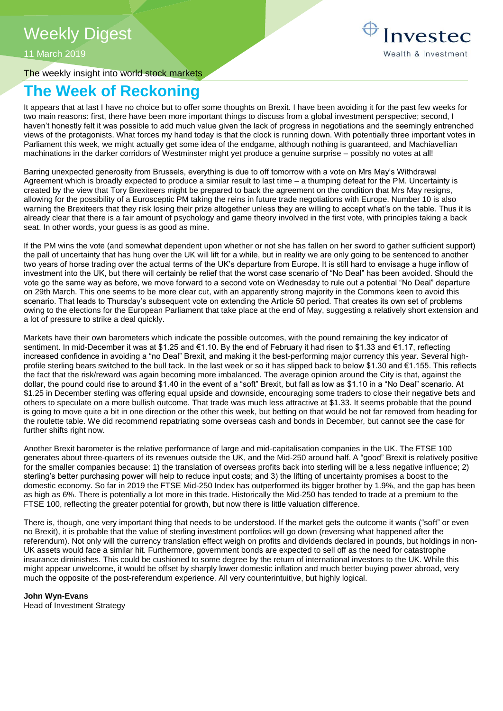11 March 2019

The weekly insight into world stock markets

## **The Week of Reckoning**

It appears that at last I have no choice but to offer some thoughts on Brexit. I have been avoiding it for the past few weeks for two main reasons: first, there have been more important things to discuss from a global investment perspective; second, I haven't honestly felt it was possible to add much value given the lack of progress in negotiations and the seemingly entrenched views of the protagonists. What forces my hand today is that the clock is running down. With potentially three important votes in Parliament this week, we might actually get some idea of the endgame, although nothing is guaranteed, and Machiavellian machinations in the darker corridors of Westminster might yet produce a genuine surprise – possibly no votes at all!

Barring unexpected generosity from Brussels, everything is due to off tomorrow with a vote on Mrs May's Withdrawal Agreement which is broadly expected to produce a similar result to last time – a thumping defeat for the PM. Uncertainty is created by the view that Tory Brexiteers might be prepared to back the agreement on the condition that Mrs May resigns, allowing for the possibility of a Eurosceptic PM taking the reins in future trade negotiations with Europe. Number 10 is also warning the Brexiteers that they risk losing their prize altogether unless they are willing to accept what's on the table. Thus it is already clear that there is a fair amount of psychology and game theory involved in the first vote, with principles taking a back seat. In other words, your quess is as good as mine.

If the PM wins the vote (and somewhat dependent upon whether or not she has fallen on her sword to gather sufficient support) the pall of uncertainty that has hung over the UK will lift for a while, but in reality we are only going to be sentenced to another two years of horse trading over the actual terms of the UK's departure from Europe. It is still hard to envisage a huge inflow of investment into the UK, but there will certainly be relief that the worst case scenario of "No Deal" has been avoided. Should the vote go the same way as before, we move forward to a second vote on Wednesday to rule out a potential "No Deal" departure on 29th March. This one seems to be more clear cut, with an apparently strong majority in the Commons keen to avoid this scenario. That leads to Thursday's subsequent vote on extending the Article 50 period. That creates its own set of problems owing to the elections for the European Parliament that take place at the end of May, suggesting a relatively short extension and a lot of pressure to strike a deal quickly.

Markets have their own barometers which indicate the possible outcomes, with the pound remaining the key indicator of sentiment. In mid-December it was at \$1.25 and €1.10. By the end of February it had risen to \$1.33 and €1.17, reflecting increased confidence in avoiding a "no Deal" Brexit, and making it the best-performing major currency this year. Several highprofile sterling bears switched to the bull tack. In the last week or so it has slipped back to below \$1.30 and €1.155. This reflects the fact that the risk/reward was again becoming more imbalanced. The average opinion around the City is that, against the dollar, the pound could rise to around \$1.40 in the event of a "soft" Brexit, but fall as low as \$1.10 in a "No Deal" scenario. At \$1.25 in December sterling was offering equal upside and downside, encouraging some traders to close their negative bets and others to speculate on a more bullish outcome. That trade was much less attractive at \$1.33. It seems probable that the pound is going to move quite a bit in one direction or the other this week, but betting on that would be not far removed from heading for the roulette table. We did recommend repatriating some overseas cash and bonds in December, but cannot see the case for further shifts right now.

Another Brexit barometer is the relative performance of large and mid-capitalisation companies in the UK. The FTSE 100 generates about three-quarters of its revenues outside the UK, and the Mid-250 around half. A "good" Brexit is relatively positive for the smaller companies because: 1) the translation of overseas profits back into sterling will be a less negative influence; 2) sterling's better purchasing power will help to reduce input costs; and 3) the lifting of uncertainty promises a boost to the domestic economy. So far in 2019 the FTSE Mid-250 Index has outperformed its bigger brother by 1.9%, and the gap has been as high as 6%. There is potentially a lot more in this trade. Historically the Mid-250 has tended to trade at a premium to the FTSE 100, reflecting the greater potential for growth, but now there is little valuation difference.

There is, though, one very important thing that needs to be understood. If the market gets the outcome it wants ("soft" or even no Brexit), it is probable that the value of sterling investment portfolios will go down (reversing what happened after the referendum). Not only will the currency translation effect weigh on profits and dividends declared in pounds, but holdings in non-UK assets would face a similar hit. Furthermore, government bonds are expected to sell off as the need for catastrophe insurance diminishes. This could be cushioned to some degree by the return of international investors to the UK. While this might appear unwelcome, it would be offset by sharply lower domestic inflation and much better buying power abroad, very much the opposite of the post-referendum experience. All very counterintuitive, but highly logical.

**John Wyn-Evans** 

Head of Investment Strategy